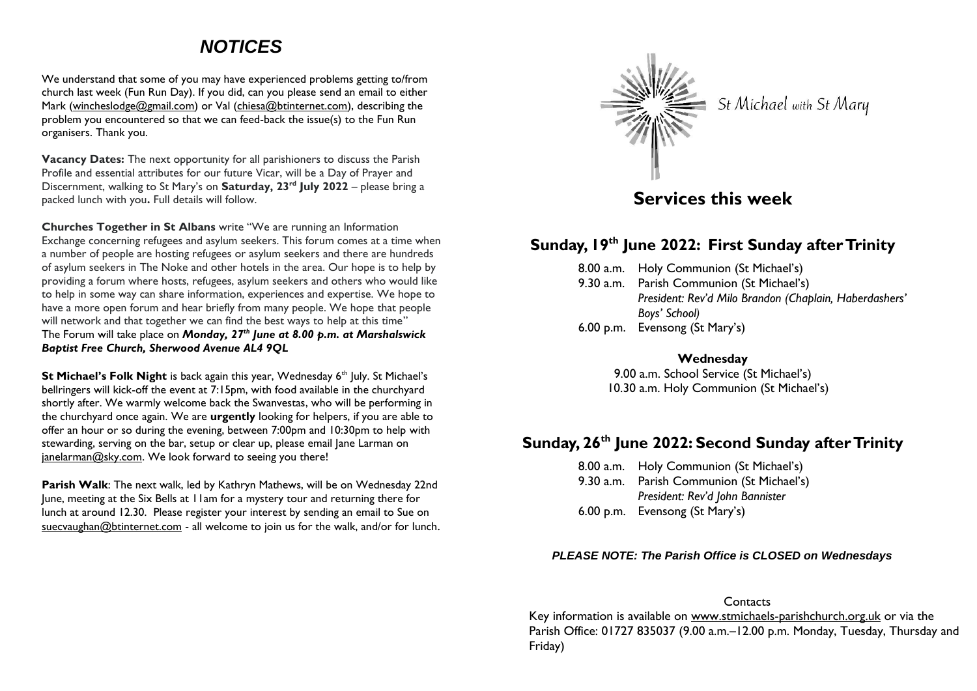# *NOTICES*

We understand that some of you may have experienced problems getting to/from church last week (Fun Run Day). If you did, can you please send an email to either Mark [\(wincheslodge@gmail.com\)](mailto:wincheslodge@gmail.com) or Val [\(chiesa@btinternet.com\)](mailto:chiesa@btinternet.com), describing the problem you encountered so that we can feed-back the issue(s) to the Fun Run organisers. Thank you.

**Vacancy Dates:** The next opportunity for all parishioners to discuss the Parish Profile and essential attributes for our future Vicar, will be a Day of Prayer and Discernment, walking to St Mary's on **Saturday, 23rd July 2022** – please bring a packed lunch with you**.** Full details will follow.

**Churches Together in St Albans** write "We are running an Information Exchange concerning refugees and asylum seekers. This forum comes at a time when a number of people are hosting refugees or asylum seekers and there are hundreds of asylum seekers in The Noke and other hotels in the area. Our hope is to help by providing a forum where hosts, refugees, asylum seekers and others who would like to help in some way can share information, experiences and expertise. We hope to have a more open forum and hear briefly from many people. We hope that people will network and that together we can find the best ways to help at this time" The Forum will take place on *Monday, 27th June at 8.00 p.m. at Marshalswick Baptist Free Church, Sherwood Avenue AL4 9QL*

**St Michael's Folk Night** is back again this year, Wednesday 6<sup>th</sup> July. St Michael's bellringers will kick-off the event at 7:15pm, with food available in the churchyard shortly after. We warmly welcome back the Swanvestas, who will be performing in the churchyard once again. We are **urgently** looking for helpers, if you are able to offer an hour or so during the evening, between 7:00pm and 10:30pm to help with stewarding, serving on the bar, setup or clear up, please email Jane Larman on [janelarman@sky.com.](mailto:janelarman@sky.com) We look forward to seeing you there!

**Parish Walk**: The next walk, led by Kathryn Mathews, will be on Wednesday 22nd June, meeting at the Six Bells at 11am for a mystery tour and returning there for lunch at around 12.30. Please register your interest by sending an email to Sue on [suecvaughan@btinternet.com](mailto:suecvaughan@btinternet.com) - all welcome to join us for the walk, and/or for lunch.

St Michael with St Mary

## **Services this week**

### **Sunday, 19 th June 2022: First Sunday after Trinity**

|  | 8.00 a.m. Holy Communion (St Michael's)                |
|--|--------------------------------------------------------|
|  | 9.30 a.m. Parish Communion (St Michael's)              |
|  | President: Rev'd Milo Brandon (Chaplain, Haberdashers' |
|  | Boys' School)                                          |
|  | 6.00 p.m. Evensong (St Mary's)                         |

**Wednesday**

9.00 a.m. School Service (St Michael's) 10.30 a.m. Holy Communion (St Michael's)

## **Sunday, 26th June 2022: Second Sunday after Trinity**

8.00 a.m. Holy Communion (St Michael's) 9.30 a.m. Parish Communion (St Michael's) *President: Rev'd John Bannister* 6.00 p.m. Evensong (St Mary's)

#### *PLEASE NOTE: The Parish Office is CLOSED on Wednesdays*

#### **Contacts**

Key information is available on www.stmichaels-parishchurch.org.uk or via the Parish Office: 01727 835037 (9.00 a.m. - 12.00 p.m. Monday, Tuesday, Thursday and Friday)